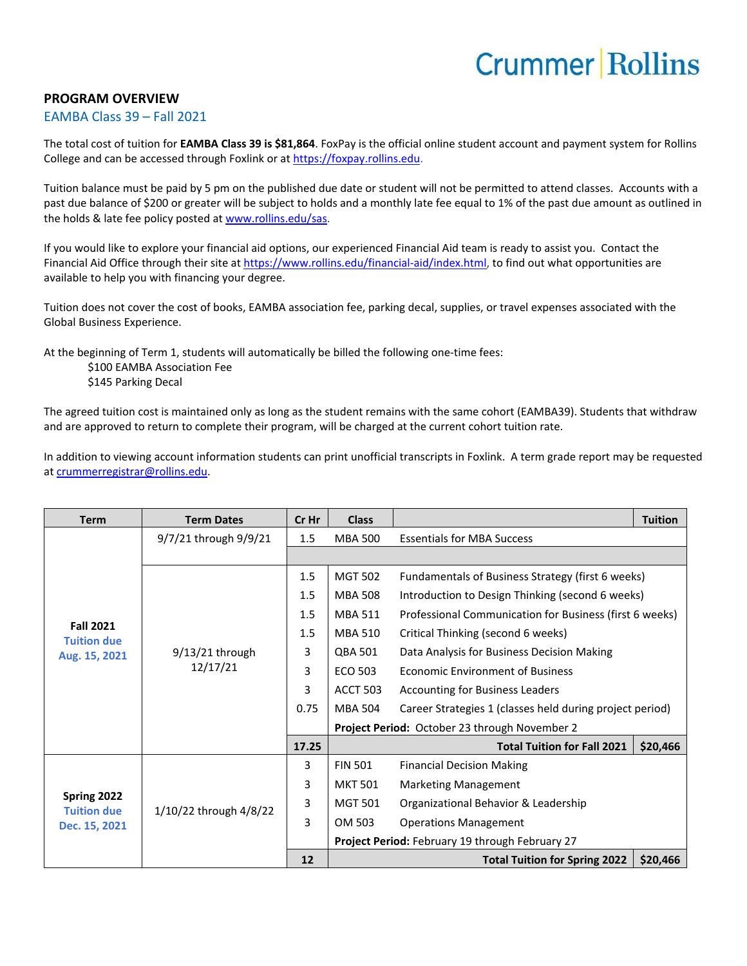## **Crummer Rollins**

## **PROGRAM OVERVIEW**

## EAMBA Class 39 – Fall 2021

The total cost of tuition for **EAMBA Class 39 is \$81,864**. FoxPay is the official online student account and payment system for Rollins College and can be accessed through Foxlink or a[t https://foxpay.rollins.edu.](https://foxpay.rollins.edu/)

Tuition balance must be paid by 5 pm on the published due date or student will not be permitted to attend classes. Accounts with a past due balance of \$200 or greater will be subject to holds and a monthly late fee equal to 1% of the past due amount as outlined in the holds & late fee policy posted at [www.rollins.edu/sas.](http://www.rollins.edu/sas)

If you would like to explore your financial aid options, our experienced Financial Aid team is ready to assist you. Contact the Financial Aid Office through their site at [https://www.rollins.edu/financial-aid/index.html,](https://www.rollins.edu/financial-aid/index.html) to find out what opportunities are available to help you with financing your degree.

Tuition does not cover the cost of books, EAMBA association fee, parking decal, supplies, or travel expenses associated with the Global Business Experience.

At the beginning of Term 1, students will automatically be billed the following one-time fees:

\$100 EAMBA Association Fee \$145 Parking Decal

The agreed tuition cost is maintained only as long as the student remains with the same cohort (EAMBA39). Students that withdraw and are approved to return to complete their program, will be charged at the current cohort tuition rate.

In addition to viewing account information students can print unofficial transcripts in Foxlink. A term grade report may be requested a[t crummerregistrar@rollins.edu.](mailto:crummerregistrar@rollins.edu)

| <b>Term</b>                                             | <b>Term Dates</b>             | Cr Hr | <b>Class</b>                                    |                                                          | <b>Tuition</b> |  |
|---------------------------------------------------------|-------------------------------|-------|-------------------------------------------------|----------------------------------------------------------|----------------|--|
| <b>Fall 2021</b><br><b>Tuition due</b><br>Aug. 15, 2021 | 9/7/21 through 9/9/21         | 1.5   | <b>MBA 500</b>                                  | <b>Essentials for MBA Success</b>                        |                |  |
|                                                         |                               |       |                                                 |                                                          |                |  |
|                                                         | $9/13/21$ through<br>12/17/21 | 1.5   | <b>MGT 502</b>                                  | Fundamentals of Business Strategy (first 6 weeks)        |                |  |
|                                                         |                               | 1.5   | <b>MBA 508</b>                                  | Introduction to Design Thinking (second 6 weeks)         |                |  |
|                                                         |                               | 1.5   | <b>MBA 511</b>                                  | Professional Communication for Business (first 6 weeks)  |                |  |
|                                                         |                               | 1.5   | <b>MBA 510</b>                                  | Critical Thinking (second 6 weeks)                       |                |  |
|                                                         |                               | 3     | QBA 501                                         | Data Analysis for Business Decision Making               |                |  |
|                                                         |                               | 3     | ECO 503                                         | <b>Economic Environment of Business</b>                  |                |  |
|                                                         |                               | 3     | <b>ACCT 503</b>                                 | <b>Accounting for Business Leaders</b>                   |                |  |
|                                                         |                               | 0.75  | <b>MBA 504</b>                                  | Career Strategies 1 (classes held during project period) |                |  |
|                                                         |                               |       |                                                 | Project Period: October 23 through November 2            |                |  |
|                                                         |                               | 17.25 |                                                 | <b>Total Tuition for Fall 2021</b>                       | \$20,466       |  |
| Spring 2022<br><b>Tuition due</b><br>Dec. 15, 2021      | 1/10/22 through 4/8/22        | 3     | <b>FIN 501</b>                                  | <b>Financial Decision Making</b>                         |                |  |
|                                                         |                               | 3     | <b>MKT 501</b>                                  | <b>Marketing Management</b>                              |                |  |
|                                                         |                               | 3     | <b>MGT 501</b>                                  | Organizational Behavior & Leadership                     |                |  |
|                                                         |                               | 3     | OM 503                                          | <b>Operations Management</b>                             |                |  |
|                                                         |                               |       | Project Period: February 19 through February 27 |                                                          |                |  |
|                                                         |                               | 12    |                                                 | <b>Total Tuition for Spring 2022</b>                     | \$20,466       |  |